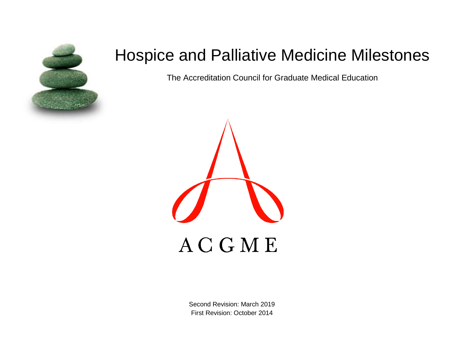

# Hospice and Palliative Medicine Milestones

The Accreditation Council for Graduate Medical Education



Second Revision: March 2019 First Revision: October 2014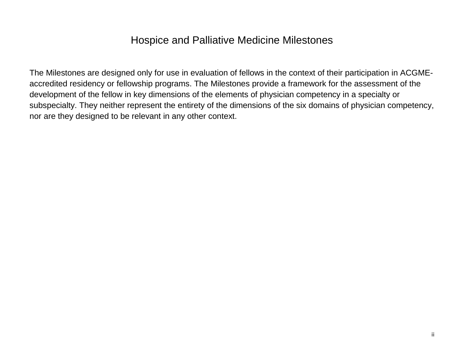## Hospice and Palliative Medicine Milestones

The Milestones are designed only for use in evaluation of fellows in the context of their participation in ACGMEaccredited residency or fellowship programs. The Milestones provide a framework for the assessment of the development of the fellow in key dimensions of the elements of physician competency in a specialty or subspecialty. They neither represent the entirety of the dimensions of the six domains of physician competency, nor are they designed to be relevant in any other context.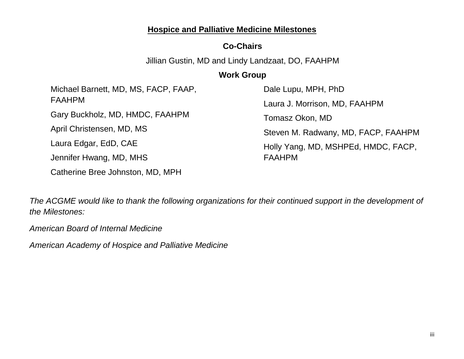## **Hospice and Palliative Medicine Milestones**

## **Co-Chairs**

Jillian Gustin, MD and Lindy Landzaat, DO, FAAHPM

## **Work Group**

Michael Barnett, MD, MS, FACP, FAAP, FAAHPM Gary Buckholz, MD, HMDC, FAAHPM April Christensen, MD, MS

Dale Lupu, MPH, PhD Laura J. Morrison, MD, FAAHPM Tomasz Okon, MD Steven M. Radwany, MD, FACP, FAAHPM Holly Yang, MD, MSHPEd, HMDC, FACP, FAAHPM

Jennifer Hwang, MD, MHS Catherine Bree Johnston, MD, MPH

*The ACGME would like to thank the following organizations for their continued support in the development of the Milestones:*

*American Board of Internal Medicine* 

Laura Edgar, EdD, CAE

*American Academy of Hospice and Palliative Medicine*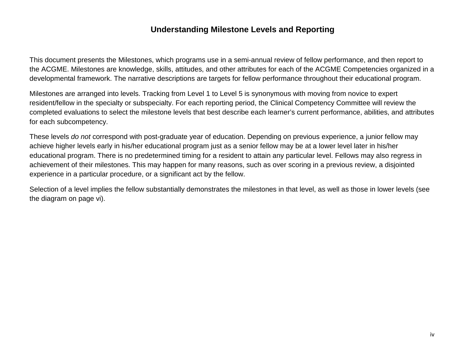## **Understanding Milestone Levels and Reporting**

This document presents the Milestones, which programs use in a semi-annual review of fellow performance, and then report to the ACGME. Milestones are knowledge, skills, attitudes, and other attributes for each of the ACGME Competencies organized in a developmental framework. The narrative descriptions are targets for fellow performance throughout their educational program.

Milestones are arranged into levels. Tracking from Level 1 to Level 5 is synonymous with moving from novice to expert resident/fellow in the specialty or subspecialty. For each reporting period, the Clinical Competency Committee will review the completed evaluations to select the milestone levels that best describe each learner's current performance, abilities, and attributes for each subcompetency.

These levels *do not* correspond with post-graduate year of education. Depending on previous experience, a junior fellow may achieve higher levels early in his/her educational program just as a senior fellow may be at a lower level later in his/her educational program. There is no predetermined timing for a resident to attain any particular level. Fellows may also regress in achievement of their milestones. This may happen for many reasons, such as over scoring in a previous review, a disjointed experience in a particular procedure, or a significant act by the fellow.

Selection of a level implies the fellow substantially demonstrates the milestones in that level, as well as those in lower levels (see the diagram on page vi).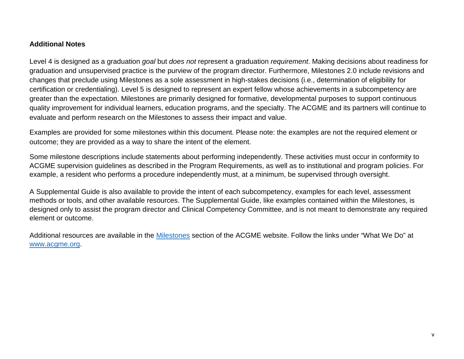#### **Additional Notes**

Level 4 is designed as a graduation *goal* but *does not* represent a graduation *requirement*. Making decisions about readiness for graduation and unsupervised practice is the purview of the program director. Furthermore, Milestones 2.0 include revisions and changes that preclude using Milestones as a sole assessment in high-stakes decisions (i.e., determination of eligibility for certification or credentialing). Level 5 is designed to represent an expert fellow whose achievements in a subcompetency are greater than the expectation. Milestones are primarily designed for formative, developmental purposes to support continuous quality improvement for individual learners, education programs, and the specialty. The ACGME and its partners will continue to evaluate and perform research on the Milestones to assess their impact and value.

Examples are provided for some milestones within this document. Please note: the examples are not the required element or outcome; they are provided as a way to share the intent of the element.

Some milestone descriptions include statements about performing independently. These activities must occur in conformity to ACGME supervision guidelines as described in the Program Requirements, as well as to institutional and program policies. For example, a resident who performs a procedure independently must, at a minimum, be supervised through oversight.

A Supplemental Guide is also available to provide the intent of each subcompetency, examples for each level, assessment methods or tools, and other available resources. The Supplemental Guide, like examples contained within the Milestones, is designed only to assist the program director and Clinical Competency Committee, and is not meant to demonstrate any required element or outcome.

Additional resources are available in the [Milestones](http://www.acgme.org/What-We-Do/Accreditation/Milestones/Overview) section of the ACGME website. Follow the links under "What We Do" at [www.acgme.org.](http://www.acgme.org/)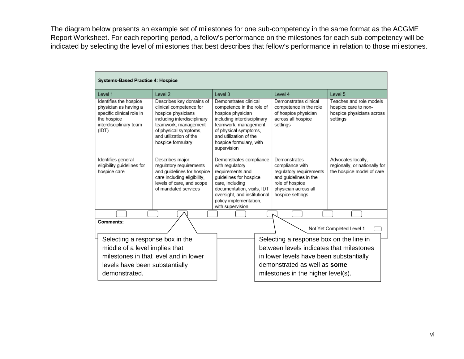The diagram below presents an example set of milestones for one sub-competency in the same format as the ACGME Report Worksheet. For each reporting period, a fellow's performance on the milestones for each sub-competency will be indicated by selecting the level of milestones that best describes that fellow's performance in relation to those milestones.

| <b>Systems-Based Practice 4: Hospice</b>                                                                                       |                                                                                                                                                                                                          |                                                                                                                                                                                                                             |  |                                                                                                                                                                                                             |                                                                                          |
|--------------------------------------------------------------------------------------------------------------------------------|----------------------------------------------------------------------------------------------------------------------------------------------------------------------------------------------------------|-----------------------------------------------------------------------------------------------------------------------------------------------------------------------------------------------------------------------------|--|-------------------------------------------------------------------------------------------------------------------------------------------------------------------------------------------------------------|------------------------------------------------------------------------------------------|
| Level 1                                                                                                                        | Level 2                                                                                                                                                                                                  | Level 3                                                                                                                                                                                                                     |  | Level 4                                                                                                                                                                                                     | Level 5                                                                                  |
| Identifies the hospice<br>physician as having a<br>specific clinical role in<br>the hospice<br>interdisciplinary team<br>(IDT) | Describes key domains of<br>clinical competence for<br>hospice physicians<br>including interdisciplinary<br>teamwork, management<br>of physical symptoms,<br>and utilization of the<br>hospice formulary | Demonstrates clinical<br>competence in the role of<br>hospice physician<br>including interdisciplinary<br>teamwork, management<br>of physical symptoms,<br>and utilization of the<br>hospice formulary, with<br>supervision |  | Demonstrates clinical<br>competence in the role<br>of hospice physician<br>across all hospice<br>settings                                                                                                   | Teaches and role models<br>hospice care to non-<br>hospice physicians across<br>settings |
| Identifies general<br>eligibility guidelines for<br>hospice care                                                               | Describes major<br>regulatory requirements<br>and guidelines for hospice<br>care including eligibility,<br>levels of care, and scope<br>of mandated services                                             | Demonstrates compliance<br>with regulatory<br>requirements and<br>guidelines for hospice<br>care, including<br>documentation, visits, IDT<br>oversight, and institutional<br>policy implementation,<br>with supervision     |  | Demonstrates<br>compliance with<br>regulatory requirements<br>and guidelines in the<br>role of hospice<br>physician across all<br>hospice settings                                                          | Advocates locally,<br>regionally, or nationally for<br>the hospice model of care         |
|                                                                                                                                |                                                                                                                                                                                                          |                                                                                                                                                                                                                             |  |                                                                                                                                                                                                             |                                                                                          |
| Comments:<br>Not Yet Completed Level 1                                                                                         |                                                                                                                                                                                                          |                                                                                                                                                                                                                             |  |                                                                                                                                                                                                             |                                                                                          |
| Selecting a response box in the<br>middle of a level implies that<br>levels have been substantially<br>demonstrated.           | milestones in that level and in lower                                                                                                                                                                    |                                                                                                                                                                                                                             |  | Selecting a response box on the line in<br>between levels indicates that milestones<br>in lower levels have been substantially<br>demonstrated as well as <b>some</b><br>milestones in the higher level(s). |                                                                                          |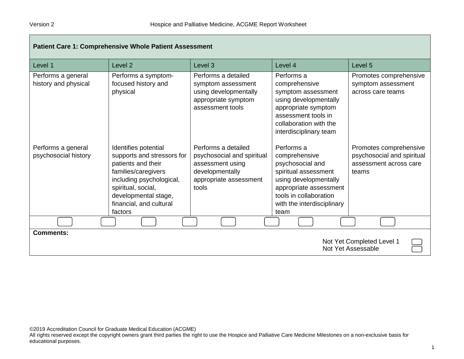| <b>Patient Care 1: Comprehensive Whole Patient Assessment</b> |                                                                                                                                                                                                                 |                                                                                                                             |                                                                                                                                                                                            |                                                                                         |
|---------------------------------------------------------------|-----------------------------------------------------------------------------------------------------------------------------------------------------------------------------------------------------------------|-----------------------------------------------------------------------------------------------------------------------------|--------------------------------------------------------------------------------------------------------------------------------------------------------------------------------------------|-----------------------------------------------------------------------------------------|
| Level 1                                                       | Level <sub>2</sub>                                                                                                                                                                                              | Level 3                                                                                                                     | Level 4                                                                                                                                                                                    | Level 5                                                                                 |
| Performs a general<br>history and physical                    | Performs a symptom-<br>focused history and<br>physical                                                                                                                                                          | Performs a detailed<br>symptom assessment<br>using developmentally<br>appropriate symptom<br>assessment tools               | Performs a<br>comprehensive<br>symptom assessment<br>using developmentally<br>appropriate symptom<br>assessment tools in<br>collaboration with the<br>interdisciplinary team               | Promotes comprehensive<br>symptom assessment<br>across care teams                       |
| Performs a general<br>psychosocial history                    | Identifies potential<br>supports and stressors for<br>patients and their<br>families/caregivers<br>including psychological,<br>spiritual, social,<br>developmental stage,<br>financial, and cultural<br>factors | Performs a detailed<br>psychosocial and spiritual<br>assessment using<br>developmentally<br>appropriate assessment<br>tools | Performs a<br>comprehensive<br>psychosocial and<br>spiritual assessment<br>using developmentally<br>appropriate assessment<br>tools in collaboration<br>with the interdisciplinary<br>team | Promotes comprehensive<br>psychosocial and spiritual<br>assessment across care<br>teams |
|                                                               |                                                                                                                                                                                                                 |                                                                                                                             |                                                                                                                                                                                            |                                                                                         |
| <b>Comments:</b>                                              |                                                                                                                                                                                                                 |                                                                                                                             |                                                                                                                                                                                            | Not Yet Completed Level 1<br>Not Yet Assessable                                         |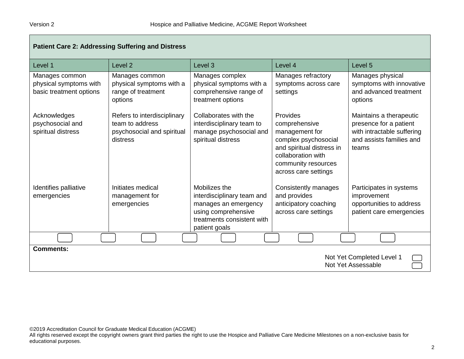| <b>Patient Care 2: Addressing Suffering and Distress</b>            |                                                                                          |                                                                                                                                           |                                                                                                                                                                       |                                                                                                                      |
|---------------------------------------------------------------------|------------------------------------------------------------------------------------------|-------------------------------------------------------------------------------------------------------------------------------------------|-----------------------------------------------------------------------------------------------------------------------------------------------------------------------|----------------------------------------------------------------------------------------------------------------------|
| Level 1                                                             | Level <sub>2</sub>                                                                       | Level 3                                                                                                                                   | Level 4                                                                                                                                                               | Level 5                                                                                                              |
| Manages common<br>physical symptoms with<br>basic treatment options | Manages common<br>physical symptoms with a<br>range of treatment<br>options              | Manages complex<br>physical symptoms with a<br>comprehensive range of<br>treatment options                                                | Manages refractory<br>symptoms across care<br>settings                                                                                                                | Manages physical<br>symptoms with innovative<br>and advanced treatment<br>options                                    |
| Acknowledges<br>psychosocial and<br>spiritual distress              | Refers to interdisciplinary<br>team to address<br>psychosocial and spiritual<br>distress | Collaborates with the<br>interdisciplinary team to<br>manage psychosocial and<br>spiritual distress                                       | Provides<br>comprehensive<br>management for<br>complex psychosocial<br>and spiritual distress in<br>collaboration with<br>community resources<br>across care settings | Maintains a therapeutic<br>presence for a patient<br>with intractable suffering<br>and assists families and<br>teams |
| Identifies palliative<br>emergencies                                | Initiates medical<br>management for<br>emergencies                                       | Mobilizes the<br>interdisciplinary team and<br>manages an emergency<br>using comprehensive<br>treatments consistent with<br>patient goals | Consistently manages<br>and provides<br>anticipatory coaching<br>across care settings                                                                                 | Participates in systems<br>improvement<br>opportunities to address<br>patient care emergencies                       |
|                                                                     |                                                                                          |                                                                                                                                           |                                                                                                                                                                       |                                                                                                                      |
| <b>Comments:</b><br>Not Yet Completed Level 1<br>Not Yet Assessable |                                                                                          |                                                                                                                                           |                                                                                                                                                                       |                                                                                                                      |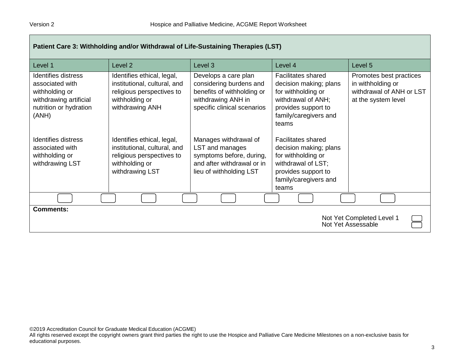| Patient Care 3: Withholding and/or Withdrawal of Life-Sustaining Therapies (LST)                                             |                                                                                                                              |                                                                                                                                    |                                                                                                                                                          |                                                                                                 |
|------------------------------------------------------------------------------------------------------------------------------|------------------------------------------------------------------------------------------------------------------------------|------------------------------------------------------------------------------------------------------------------------------------|----------------------------------------------------------------------------------------------------------------------------------------------------------|-------------------------------------------------------------------------------------------------|
| Level 1                                                                                                                      | Level <sub>2</sub>                                                                                                           | Level 3                                                                                                                            | Level 4                                                                                                                                                  | Level 5                                                                                         |
| <b>Identifies distress</b><br>associated with<br>withholding or<br>withdrawing artificial<br>nutrition or hydration<br>(ANH) | Identifies ethical, legal,<br>institutional, cultural, and<br>religious perspectives to<br>withholding or<br>withdrawing ANH | Develops a care plan<br>considering burdens and<br>benefits of withholding or<br>withdrawing ANH in<br>specific clinical scenarios | <b>Facilitates shared</b><br>decision making; plans<br>for withholding or<br>withdrawal of ANH;<br>provides support to<br>family/caregivers and<br>teams | Promotes best practices<br>in withholding or<br>withdrawal of ANH or LST<br>at the system level |
| Identifies distress<br>associated with<br>withholding or<br>withdrawing LST                                                  | Identifies ethical, legal,<br>institutional, cultural, and<br>religious perspectives to<br>withholding or<br>withdrawing LST | Manages withdrawal of<br>LST and manages<br>symptoms before, during,<br>and after withdrawal or in<br>lieu of withholding LST      | <b>Facilitates shared</b><br>decision making; plans<br>for withholding or<br>withdrawal of LST;<br>provides support to<br>family/caregivers and<br>teams |                                                                                                 |
|                                                                                                                              |                                                                                                                              |                                                                                                                                    |                                                                                                                                                          |                                                                                                 |
| <b>Comments:</b><br>Not Yet Completed Level 1<br>Not Yet Assessable                                                          |                                                                                                                              |                                                                                                                                    |                                                                                                                                                          |                                                                                                 |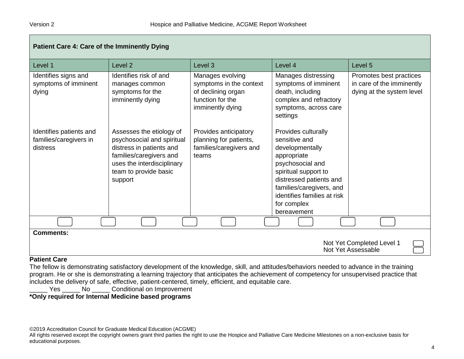| <b>Patient Care 4: Care of the Imminently Dying</b>                 |                                                                                                                                                                                 |                                                                                                           |                                                                                                                                                                                                                                        |                                                                                   |
|---------------------------------------------------------------------|---------------------------------------------------------------------------------------------------------------------------------------------------------------------------------|-----------------------------------------------------------------------------------------------------------|----------------------------------------------------------------------------------------------------------------------------------------------------------------------------------------------------------------------------------------|-----------------------------------------------------------------------------------|
| Level 1                                                             | Level <sub>2</sub>                                                                                                                                                              | Level <sub>3</sub>                                                                                        | Level 4                                                                                                                                                                                                                                | Level <sub>5</sub>                                                                |
| Identifies signs and<br>symptoms of imminent<br>dying               | Identifies risk of and<br>manages common<br>symptoms for the<br>imminently dying                                                                                                | Manages evolving<br>symptoms in the context<br>of declining organ<br>function for the<br>imminently dying | Manages distressing<br>symptoms of imminent<br>death, including<br>complex and refractory<br>symptoms, across care<br>settings                                                                                                         | Promotes best practices<br>in care of the imminently<br>dying at the system level |
| Identifies patients and<br>families/caregivers in<br>distress       | Assesses the etiology of<br>psychosocial and spiritual<br>distress in patients and<br>families/caregivers and<br>uses the interdisciplinary<br>team to provide basic<br>support | Provides anticipatory<br>planning for patients,<br>families/caregivers and<br>teams                       | Provides culturally<br>sensitive and<br>developmentally<br>appropriate<br>psychosocial and<br>spiritual support to<br>distressed patients and<br>families/caregivers, and<br>identifies families at risk<br>for complex<br>bereavement |                                                                                   |
|                                                                     |                                                                                                                                                                                 |                                                                                                           |                                                                                                                                                                                                                                        |                                                                                   |
| <b>Comments:</b><br>Not Yet Completed Level 1<br>Not Yet Assessable |                                                                                                                                                                                 |                                                                                                           |                                                                                                                                                                                                                                        |                                                                                   |

#### **Patient Care**

The fellow is demonstrating satisfactory development of the knowledge, skill, and attitudes/behaviors needed to advance in the training program. He or she is demonstrating a learning trajectory that anticipates the achievement of competency for unsupervised practice that includes the delivery of safe, effective, patient-centered, timely, efficient, and equitable care.

Yes \_\_\_\_\_ No \_\_\_\_\_ Conditional on Improvement

**\*Only required for Internal Medicine based programs**

<sup>©2019</sup> Accreditation Council for Graduate Medical Education (ACGME)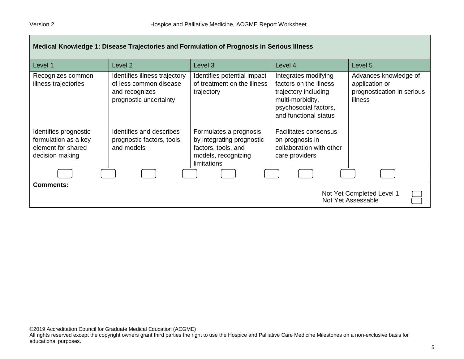| Medical Knowledge 1: Disease Trajectories and Formulation of Prognosis in Serious Illness |                                                                                                     |                                                                                                                         |                                                                                                                                              |                                                                                  |
|-------------------------------------------------------------------------------------------|-----------------------------------------------------------------------------------------------------|-------------------------------------------------------------------------------------------------------------------------|----------------------------------------------------------------------------------------------------------------------------------------------|----------------------------------------------------------------------------------|
| Level 1                                                                                   | Level 2                                                                                             | Level <sub>3</sub>                                                                                                      | Level 4                                                                                                                                      | Level <sub>5</sub>                                                               |
| Recognizes common<br>illness trajectories                                                 | Identifies illness trajectory<br>of less common disease<br>and recognizes<br>prognostic uncertainty | Identifies potential impact<br>of treatment on the illness<br>trajectory                                                | Integrates modifying<br>factors on the illness<br>trajectory including<br>multi-morbidity,<br>psychosocial factors,<br>and functional status | Advances knowledge of<br>application or<br>prognostication in serious<br>illness |
| Identifies prognostic<br>formulation as a key<br>element for shared<br>decision making    | Identifies and describes<br>prognostic factors, tools,<br>and models                                | Formulates a prognosis<br>by integrating prognostic<br>factors, tools, and<br>models, recognizing<br><b>limitations</b> | Facilitates consensus<br>on prognosis in<br>collaboration with other<br>care providers                                                       |                                                                                  |
|                                                                                           |                                                                                                     |                                                                                                                         |                                                                                                                                              |                                                                                  |
| <b>Comments:</b><br>Not Yet Completed Level 1<br>Not Yet Assessable                       |                                                                                                     |                                                                                                                         |                                                                                                                                              |                                                                                  |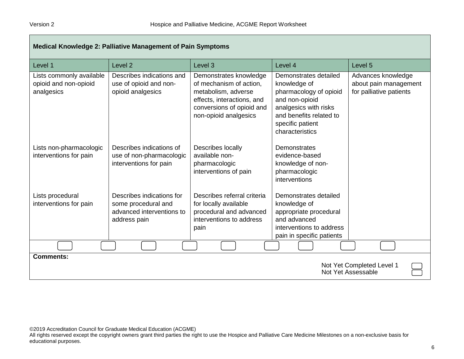**The Company** 

| Medical Knowledge 2: Palliative Management of Pain Symptoms     |                                                                                               |                                                                                                                                                              |                                                                                                                                                                              |                                                                        |
|-----------------------------------------------------------------|-----------------------------------------------------------------------------------------------|--------------------------------------------------------------------------------------------------------------------------------------------------------------|------------------------------------------------------------------------------------------------------------------------------------------------------------------------------|------------------------------------------------------------------------|
| Level 1                                                         | Level <sub>2</sub>                                                                            | Level <sub>3</sub>                                                                                                                                           | Level 4                                                                                                                                                                      | Level <sub>5</sub>                                                     |
| Lists commonly available<br>opioid and non-opioid<br>analgesics | Describes indications and<br>use of opioid and non-<br>opioid analgesics                      | Demonstrates knowledge<br>of mechanism of action,<br>metabolism, adverse<br>effects, interactions, and<br>conversions of opioid and<br>non-opioid analgesics | Demonstrates detailed<br>knowledge of<br>pharmacology of opioid<br>and non-opioid<br>analgesics with risks<br>and benefits related to<br>specific patient<br>characteristics | Advances knowledge<br>about pain management<br>for palliative patients |
| Lists non-pharmacologic<br>interventions for pain               | Describes indications of<br>use of non-pharmacologic<br>interventions for pain                | Describes locally<br>available non-<br>pharmacologic<br>interventions of pain                                                                                | Demonstrates<br>evidence-based<br>knowledge of non-<br>pharmacologic<br>interventions                                                                                        |                                                                        |
| Lists procedural<br>interventions for pain                      | Describes indications for<br>some procedural and<br>advanced interventions to<br>address pain | Describes referral criteria<br>for locally available<br>procedural and advanced<br>interventions to address<br>pain                                          | Demonstrates detailed<br>knowledge of<br>appropriate procedural<br>and advanced<br>interventions to address<br>pain in specific patients                                     |                                                                        |
|                                                                 |                                                                                               |                                                                                                                                                              |                                                                                                                                                                              |                                                                        |
| <b>Comments:</b>                                                |                                                                                               |                                                                                                                                                              |                                                                                                                                                                              | Not Yet Completed Level 1<br>Not Yet Assessable                        |

©2019 Accreditation Council for Graduate Medical Education (ACGME)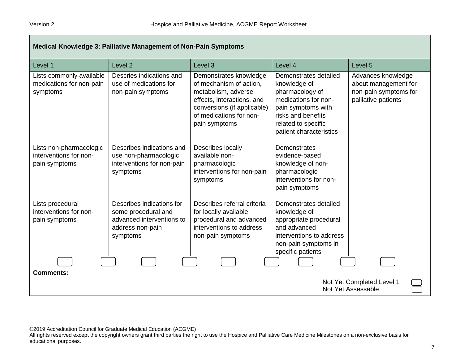| Medical Knowledge 3: Palliative Management of Non-Pain Symptoms     |                                                                                                               |                                                                                                                                                                                   |                                                                                                                                                                                |                                                                                            |  |
|---------------------------------------------------------------------|---------------------------------------------------------------------------------------------------------------|-----------------------------------------------------------------------------------------------------------------------------------------------------------------------------------|--------------------------------------------------------------------------------------------------------------------------------------------------------------------------------|--------------------------------------------------------------------------------------------|--|
| Level 1                                                             | Level <sub>2</sub>                                                                                            | Level <sub>3</sub>                                                                                                                                                                | Level 4                                                                                                                                                                        | Level <sub>5</sub>                                                                         |  |
| Lists commonly available<br>medications for non-pain<br>symptoms    | Descries indications and<br>use of medications for<br>non-pain symptoms                                       | Demonstrates knowledge<br>of mechanism of action,<br>metabolism, adverse<br>effects, interactions, and<br>conversions (if applicable)<br>of medications for non-<br>pain symptoms | Demonstrates detailed<br>knowledge of<br>pharmacology of<br>medications for non-<br>pain symptoms with<br>risks and benefits<br>related to specific<br>patient characteristics | Advances knowledge<br>about management for<br>non-pain symptoms for<br>palliative patients |  |
| Lists non-pharmacologic<br>interventions for non-<br>pain symptoms  | Describes indications and<br>use non-pharmacologic<br>interventions for non-pain<br>symptoms                  | Describes locally<br>available non-<br>pharmacologic<br>interventions for non-pain<br>symptoms                                                                                    | <b>Demonstrates</b><br>evidence-based<br>knowledge of non-<br>pharmacologic<br>interventions for non-<br>pain symptoms                                                         |                                                                                            |  |
| Lists procedural<br>interventions for non-<br>pain symptoms         | Describes indications for<br>some procedural and<br>advanced interventions to<br>address non-pain<br>symptoms | Describes referral criteria<br>for locally available<br>procedural and advanced<br>interventions to address<br>non-pain symptoms                                                  | Demonstrates detailed<br>knowledge of<br>appropriate procedural<br>and advanced<br>interventions to address<br>non-pain symptoms in<br>specific patients                       |                                                                                            |  |
|                                                                     |                                                                                                               |                                                                                                                                                                                   |                                                                                                                                                                                |                                                                                            |  |
| <b>Comments:</b><br>Not Yet Completed Level 1<br>Not Yet Assessable |                                                                                                               |                                                                                                                                                                                   |                                                                                                                                                                                |                                                                                            |  |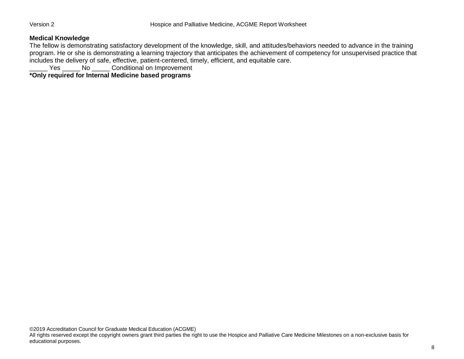#### **Medical Knowledge**

The fellow is demonstrating satisfactory development of the knowledge, skill, and attitudes/behaviors needed to advance in the training program. He or she is demonstrating a learning trajectory that anticipates the achievement of competency for unsupervised practice that includes the delivery of safe, effective, patient-centered, timely, efficient, and equitable care.

Yes \_\_\_\_\_ No \_\_\_\_\_ Conditional on Improvement

**\*Only required for Internal Medicine based programs**

©2019 Accreditation Council for Graduate Medical Education (ACGME)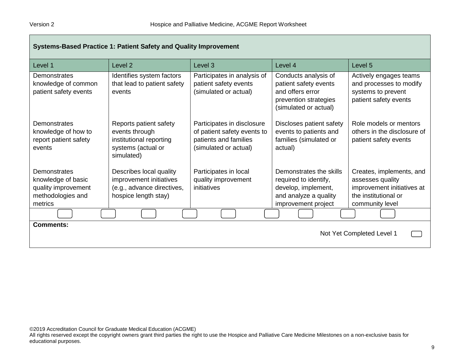| <b>Systems-Based Practice 1: Patient Safety and Quality Improvement</b>                   |                                                                                                          |                                                                                                             |                                                                                                                         |                                                                                                                       |
|-------------------------------------------------------------------------------------------|----------------------------------------------------------------------------------------------------------|-------------------------------------------------------------------------------------------------------------|-------------------------------------------------------------------------------------------------------------------------|-----------------------------------------------------------------------------------------------------------------------|
| Level 1                                                                                   | Level <sub>2</sub>                                                                                       | Level <sub>3</sub>                                                                                          | Level 4                                                                                                                 | Level <sub>5</sub>                                                                                                    |
| Demonstrates<br>knowledge of common<br>patient safety events                              | Identifies system factors<br>that lead to patient safety<br>events                                       | Participates in analysis of<br>patient safety events<br>(simulated or actual)                               | Conducts analysis of<br>patient safety events<br>and offers error<br>prevention strategies<br>(simulated or actual)     | Actively engages teams<br>and processes to modify<br>systems to prevent<br>patient safety events                      |
| Demonstrates<br>knowledge of how to<br>report patient safety<br>events                    | Reports patient safety<br>events through<br>institutional reporting<br>systems (actual or<br>simulated)  | Participates in disclosure<br>of patient safety events to<br>patients and families<br>(simulated or actual) | Discloses patient safety<br>events to patients and<br>families (simulated or<br>actual)                                 | Role models or mentors<br>others in the disclosure of<br>patient safety events                                        |
| Demonstrates<br>knowledge of basic<br>quality improvement<br>methodologies and<br>metrics | Describes local quality<br>improvement initiatives<br>(e.g., advance directives,<br>hospice length stay) | Participates in local<br>quality improvement<br>initiatives                                                 | Demonstrates the skills<br>required to identify,<br>develop, implement,<br>and analyze a quality<br>improvement project | Creates, implements, and<br>assesses quality<br>improvement initiatives at<br>the institutional or<br>community level |
|                                                                                           |                                                                                                          |                                                                                                             |                                                                                                                         |                                                                                                                       |
| <b>Comments:</b>                                                                          |                                                                                                          |                                                                                                             |                                                                                                                         | Not Yet Completed Level 1                                                                                             |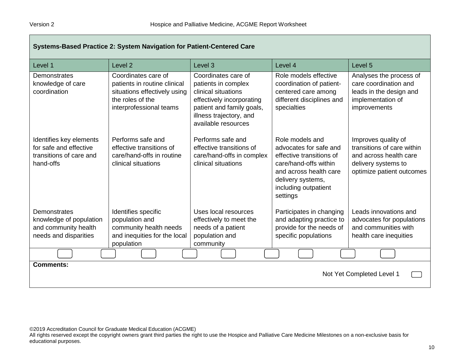| Systems-Based Practice 2: System Navigation for Patient-Centered Care                     |                                                                                                                                    |                                                                                                                                                                               |                                                                                                                                                                                   |                                                                                                                                 |
|-------------------------------------------------------------------------------------------|------------------------------------------------------------------------------------------------------------------------------------|-------------------------------------------------------------------------------------------------------------------------------------------------------------------------------|-----------------------------------------------------------------------------------------------------------------------------------------------------------------------------------|---------------------------------------------------------------------------------------------------------------------------------|
| Level 1                                                                                   | Level 2                                                                                                                            | Level 3                                                                                                                                                                       | Level 4                                                                                                                                                                           | Level 5                                                                                                                         |
| <b>Demonstrates</b><br>knowledge of care<br>coordination                                  | Coordinates care of<br>patients in routine clinical<br>situations effectively using<br>the roles of the<br>interprofessional teams | Coordinates care of<br>patients in complex<br>clinical situations<br>effectively incorporating<br>patient and family goals,<br>illness trajectory, and<br>available resources | Role models effective<br>coordination of patient-<br>centered care among<br>different disciplines and<br>specialties                                                              | Analyses the process of<br>care coordination and<br>leads in the design and<br>implementation of<br>improvements                |
| Identifies key elements<br>for safe and effective<br>transitions of care and<br>hand-offs | Performs safe and<br>effective transitions of<br>care/hand-offs in routine<br>clinical situations                                  | Performs safe and<br>effective transitions of<br>care/hand-offs in complex<br>clinical situations                                                                             | Role models and<br>advocates for safe and<br>effective transitions of<br>care/hand-offs within<br>and across health care<br>delivery systems,<br>including outpatient<br>settings | Improves quality of<br>transitions of care within<br>and across health care<br>delivery systems to<br>optimize patient outcomes |
| Demonstrates<br>knowledge of population<br>and community health<br>needs and disparities  | Identifies specific<br>population and<br>community health needs<br>and inequities for the local<br>population                      | Uses local resources<br>effectively to meet the<br>needs of a patient<br>population and<br>community                                                                          | Participates in changing<br>and adapting practice to<br>provide for the needs of<br>specific populations                                                                          | Leads innovations and<br>advocates for populations<br>and communities with<br>health care inequities                            |
|                                                                                           |                                                                                                                                    |                                                                                                                                                                               |                                                                                                                                                                                   |                                                                                                                                 |
| <b>Comments:</b><br>Not Yet Completed Level 1                                             |                                                                                                                                    |                                                                                                                                                                               |                                                                                                                                                                                   |                                                                                                                                 |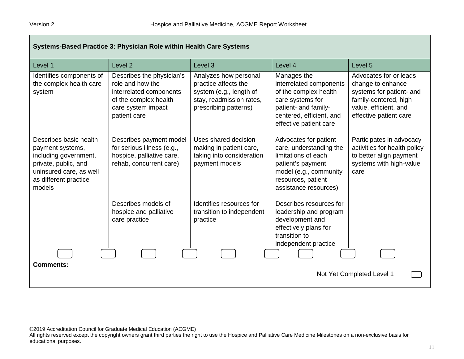| Systems-Based Practice 3: Physician Role within Health Care Systems                                                                                       |                                                                                                                                         |                                                                                                                               |                                                                                                                                                                       |                                                                                                                                                     |
|-----------------------------------------------------------------------------------------------------------------------------------------------------------|-----------------------------------------------------------------------------------------------------------------------------------------|-------------------------------------------------------------------------------------------------------------------------------|-----------------------------------------------------------------------------------------------------------------------------------------------------------------------|-----------------------------------------------------------------------------------------------------------------------------------------------------|
| Level 1                                                                                                                                                   | Level <sub>2</sub>                                                                                                                      | Level 3                                                                                                                       | Level 4                                                                                                                                                               | Level 5                                                                                                                                             |
| Identifies components of<br>the complex health care<br>system                                                                                             | Describes the physician's<br>role and how the<br>interrelated components<br>of the complex health<br>care system impact<br>patient care | Analyzes how personal<br>practice affects the<br>system (e.g., length of<br>stay, readmission rates,<br>prescribing patterns) | Manages the<br>interrelated components<br>of the complex health<br>care systems for<br>patient- and family-<br>centered, efficient, and<br>effective patient care     | Advocates for or leads<br>change to enhance<br>systems for patient- and<br>family-centered, high<br>value, efficient, and<br>effective patient care |
| Describes basic health<br>payment systems,<br>including government,<br>private, public, and<br>uninsured care, as well<br>as different practice<br>models | Describes payment model<br>for serious illness (e.g.,<br>hospice, palliative care,<br>rehab, concurrent care)                           | Uses shared decision<br>making in patient care,<br>taking into consideration<br>payment models                                | Advocates for patient<br>care, understanding the<br>limitations of each<br>patient's payment<br>model (e.g., community<br>resources, patient<br>assistance resources) | Participates in advocacy<br>activities for health policy<br>to better align payment<br>systems with high-value<br>care                              |
|                                                                                                                                                           | Describes models of<br>hospice and palliative<br>care practice                                                                          | Identifies resources for<br>transition to independent<br>practice                                                             | Describes resources for<br>leadership and program<br>development and<br>effectively plans for<br>transition to<br>independent practice                                |                                                                                                                                                     |
|                                                                                                                                                           |                                                                                                                                         |                                                                                                                               |                                                                                                                                                                       |                                                                                                                                                     |
| <b>Comments:</b><br>Not Yet Completed Level 1                                                                                                             |                                                                                                                                         |                                                                                                                               |                                                                                                                                                                       |                                                                                                                                                     |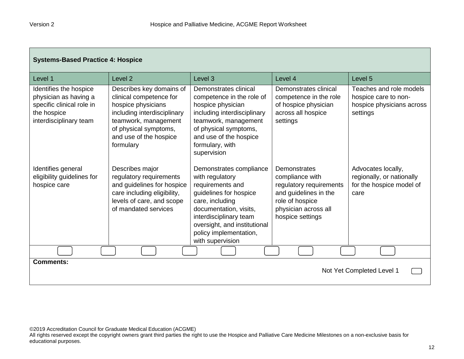| <b>Systems-Based Practice 4: Hospice</b>                                                                              |                                                                                                                                                                                                  |                                                                                                                                                                                                                                               |                                                                                                                                                    |                                                                                          |
|-----------------------------------------------------------------------------------------------------------------------|--------------------------------------------------------------------------------------------------------------------------------------------------------------------------------------------------|-----------------------------------------------------------------------------------------------------------------------------------------------------------------------------------------------------------------------------------------------|----------------------------------------------------------------------------------------------------------------------------------------------------|------------------------------------------------------------------------------------------|
| Level 1                                                                                                               | Level <sub>2</sub>                                                                                                                                                                               | Level <sub>3</sub>                                                                                                                                                                                                                            | Level 4                                                                                                                                            | Level <sub>5</sub>                                                                       |
| Identifies the hospice<br>physician as having a<br>specific clinical role in<br>the hospice<br>interdisciplinary team | Describes key domains of<br>clinical competence for<br>hospice physicians<br>including interdisciplinary<br>teamwork, management<br>of physical symptoms,<br>and use of the hospice<br>formulary | Demonstrates clinical<br>competence in the role of<br>hospice physician<br>including interdisciplinary<br>teamwork, management<br>of physical symptoms,<br>and use of the hospice<br>formulary, with<br>supervision                           | Demonstrates clinical<br>competence in the role<br>of hospice physician<br>across all hospice<br>settings                                          | Teaches and role models<br>hospice care to non-<br>hospice physicians across<br>settings |
| Identifies general<br>eligibility guidelines for<br>hospice care                                                      | Describes major<br>regulatory requirements<br>and guidelines for hospice<br>care including eligibility,<br>levels of care, and scope<br>of mandated services                                     | Demonstrates compliance<br>with regulatory<br>requirements and<br>guidelines for hospice<br>care, including<br>documentation, visits,<br>interdisciplinary team<br>oversight, and institutional<br>policy implementation,<br>with supervision | Demonstrates<br>compliance with<br>regulatory requirements<br>and guidelines in the<br>role of hospice<br>physician across all<br>hospice settings | Advocates locally,<br>regionally, or nationally<br>for the hospice model of<br>care      |
|                                                                                                                       |                                                                                                                                                                                                  |                                                                                                                                                                                                                                               |                                                                                                                                                    |                                                                                          |
| <b>Comments:</b><br>Not Yet Completed Level 1                                                                         |                                                                                                                                                                                                  |                                                                                                                                                                                                                                               |                                                                                                                                                    |                                                                                          |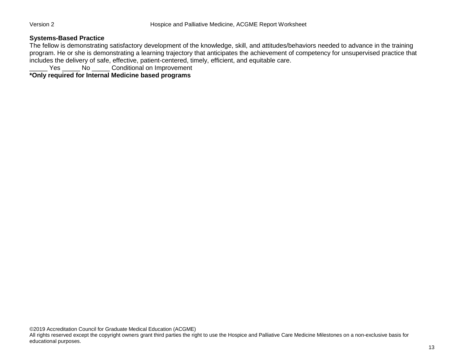#### **Systems-Based Practice**

The fellow is demonstrating satisfactory development of the knowledge, skill, and attitudes/behaviors needed to advance in the training program. He or she is demonstrating a learning trajectory that anticipates the achievement of competency for unsupervised practice that includes the delivery of safe, effective, patient-centered, timely, efficient, and equitable care.

Yes \_\_\_\_\_ No \_\_\_\_\_ Conditional on Improvement

**\*Only required for Internal Medicine based programs**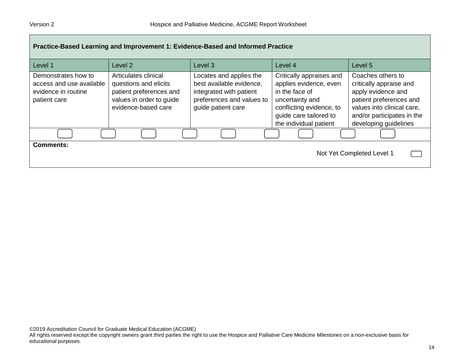| Practice-Based Learning and Improvement 1: Evidence-Based and Informed Practice        |                                                                                                                             |                                                                                                                                   |                                                                                                                                                                         |                                                                                                                                                                                    |  |
|----------------------------------------------------------------------------------------|-----------------------------------------------------------------------------------------------------------------------------|-----------------------------------------------------------------------------------------------------------------------------------|-------------------------------------------------------------------------------------------------------------------------------------------------------------------------|------------------------------------------------------------------------------------------------------------------------------------------------------------------------------------|--|
| Level 1                                                                                | Level <sub>2</sub>                                                                                                          | Level <sub>3</sub>                                                                                                                | Level 4                                                                                                                                                                 | Level 5                                                                                                                                                                            |  |
| Demonstrates how to<br>access and use available<br>evidence in routine<br>patient care | Articulates clinical<br>questions and elicits<br>patient preferences and<br>values in order to guide<br>evidence-based care | Locates and applies the<br>best available evidence,<br>integrated with patient<br>preferences and values to<br>guide patient care | Critically appraises and<br>applies evidence, even<br>in the face of<br>uncertainty and<br>conflicting evidence, to<br>guide care tailored to<br>the individual patient | Coaches others to<br>critically appraise and<br>apply evidence and<br>patient preferences and<br>values into clinical care,<br>and/or participates in the<br>developing guidelines |  |
|                                                                                        |                                                                                                                             |                                                                                                                                   |                                                                                                                                                                         |                                                                                                                                                                                    |  |
| <b>Comments:</b><br>Not Yet Completed Level 1                                          |                                                                                                                             |                                                                                                                                   |                                                                                                                                                                         |                                                                                                                                                                                    |  |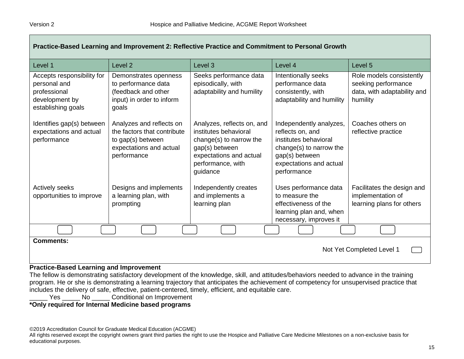| Practice-Based Learning and Improvement 2: Reflective Practice and Commitment to Personal Growth   |                                                                                                                        |                                                                                                                                                              |                                                                                                                                                             |                                                                                            |
|----------------------------------------------------------------------------------------------------|------------------------------------------------------------------------------------------------------------------------|--------------------------------------------------------------------------------------------------------------------------------------------------------------|-------------------------------------------------------------------------------------------------------------------------------------------------------------|--------------------------------------------------------------------------------------------|
| Level 1                                                                                            | Level <sub>2</sub>                                                                                                     | Level 3                                                                                                                                                      | Level 4                                                                                                                                                     | Level 5                                                                                    |
| Accepts responsibility for<br>personal and<br>professional<br>development by<br>establishing goals | Demonstrates openness<br>to performance data<br>(feedback and other<br>input) in order to inform<br>goals              | Seeks performance data<br>episodically, with<br>adaptability and humility                                                                                    | Intentionally seeks<br>performance data<br>consistently, with<br>adaptability and humility                                                                  | Role models consistently<br>seeking performance<br>data, with adaptability and<br>humility |
| Identifies gap(s) between<br>expectations and actual<br>performance                                | Analyzes and reflects on<br>the factors that contribute<br>to gap(s) between<br>expectations and actual<br>performance | Analyzes, reflects on, and<br>institutes behavioral<br>change(s) to narrow the<br>gap(s) between<br>expectations and actual<br>performance, with<br>guidance | Independently analyzes,<br>reflects on, and<br>institutes behavioral<br>change(s) to narrow the<br>gap(s) between<br>expectations and actual<br>performance | Coaches others on<br>reflective practice                                                   |
| Actively seeks<br>opportunities to improve                                                         | Designs and implements<br>a learning plan, with<br>prompting                                                           | Independently creates<br>and implements a<br>learning plan                                                                                                   | Uses performance data<br>to measure the<br>effectiveness of the<br>learning plan and, when<br>necessary, improves it                                        | Facilitates the design and<br>implementation of<br>learning plans for others               |
|                                                                                                    |                                                                                                                        |                                                                                                                                                              |                                                                                                                                                             |                                                                                            |
| <b>Comments:</b><br>Not Yet Completed Level 1                                                      |                                                                                                                        |                                                                                                                                                              |                                                                                                                                                             |                                                                                            |

#### **Practice-Based Learning and Improvement**

The fellow is demonstrating satisfactory development of the knowledge, skill, and attitudes/behaviors needed to advance in the training program. He or she is demonstrating a learning trajectory that anticipates the achievement of competency for unsupervised practice that includes the delivery of safe, effective, patient-centered, timely, efficient, and equitable care.

Yes No Conditional on Improvement

**\*Only required for Internal Medicine based programs**

<sup>©2019</sup> Accreditation Council for Graduate Medical Education (ACGME)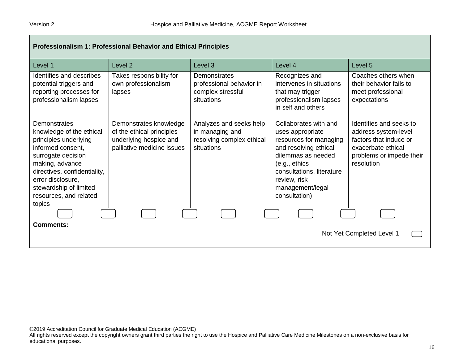| Professionalism 1: Professional Behavior and Ethical Principles                                                                                                                                                                                    |                                                                                                             |                                                                                       |                                                                                                                                                                                                                       |                                                                                                                                           |
|----------------------------------------------------------------------------------------------------------------------------------------------------------------------------------------------------------------------------------------------------|-------------------------------------------------------------------------------------------------------------|---------------------------------------------------------------------------------------|-----------------------------------------------------------------------------------------------------------------------------------------------------------------------------------------------------------------------|-------------------------------------------------------------------------------------------------------------------------------------------|
| Level 1                                                                                                                                                                                                                                            | Level <sub>2</sub>                                                                                          | Level <sub>3</sub>                                                                    | Level 4                                                                                                                                                                                                               | Level 5                                                                                                                                   |
| Identifies and describes<br>potential triggers and<br>reporting processes for<br>professionalism lapses                                                                                                                                            | Takes responsibility for<br>own professionalism<br>lapses                                                   | Demonstrates<br>professional behavior in<br>complex stressful<br>situations           | Recognizes and<br>intervenes in situations<br>that may trigger<br>professionalism lapses<br>in self and others                                                                                                        | Coaches others when<br>their behavior fails to<br>meet professional<br>expectations                                                       |
| Demonstrates<br>knowledge of the ethical<br>principles underlying<br>informed consent,<br>surrogate decision<br>making, advance<br>directives, confidentiality,<br>error disclosure,<br>stewardship of limited<br>resources, and related<br>topics | Demonstrates knowledge<br>of the ethical principles<br>underlying hospice and<br>palliative medicine issues | Analyzes and seeks help<br>in managing and<br>resolving complex ethical<br>situations | Collaborates with and<br>uses appropriate<br>resources for managing<br>and resolving ethical<br>dilemmas as needed<br>(e.g., ethics<br>consultations, literature<br>review, risk<br>management/legal<br>consultation) | Identifies and seeks to<br>address system-level<br>factors that induce or<br>exacerbate ethical<br>problems or impede their<br>resolution |
|                                                                                                                                                                                                                                                    |                                                                                                             |                                                                                       |                                                                                                                                                                                                                       |                                                                                                                                           |
| <b>Comments:</b><br>Not Yet Completed Level 1                                                                                                                                                                                                      |                                                                                                             |                                                                                       |                                                                                                                                                                                                                       |                                                                                                                                           |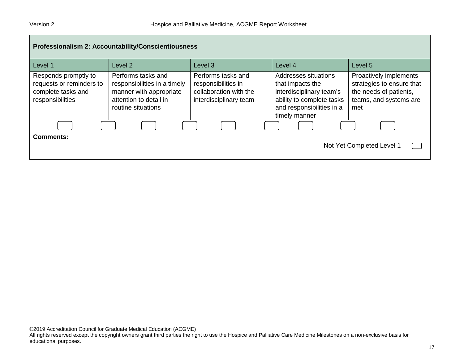| Professionalism 2: Accountability/Conscientiousness                                        |                                                                                                                               |                                                                                               |                                                                                                                                                 |                                                                                                                |  |
|--------------------------------------------------------------------------------------------|-------------------------------------------------------------------------------------------------------------------------------|-----------------------------------------------------------------------------------------------|-------------------------------------------------------------------------------------------------------------------------------------------------|----------------------------------------------------------------------------------------------------------------|--|
| Level 1                                                                                    | Level 2                                                                                                                       | Level <sub>3</sub>                                                                            | Level 4                                                                                                                                         | Level 5                                                                                                        |  |
| Responds promptly to<br>requests or reminders to<br>complete tasks and<br>responsibilities | Performs tasks and<br>responsibilities in a timely<br>manner with appropriate<br>attention to detail in<br>routine situations | Performs tasks and<br>responsibilities in<br>collaboration with the<br>interdisciplinary team | Addresses situations<br>that impacts the<br>interdisciplinary team's<br>ability to complete tasks<br>and responsibilities in a<br>timely manner | Proactively implements<br>strategies to ensure that<br>the needs of patients,<br>teams, and systems are<br>met |  |
|                                                                                            |                                                                                                                               |                                                                                               |                                                                                                                                                 |                                                                                                                |  |
| <b>Comments:</b><br>Not Yet Completed Level 1                                              |                                                                                                                               |                                                                                               |                                                                                                                                                 |                                                                                                                |  |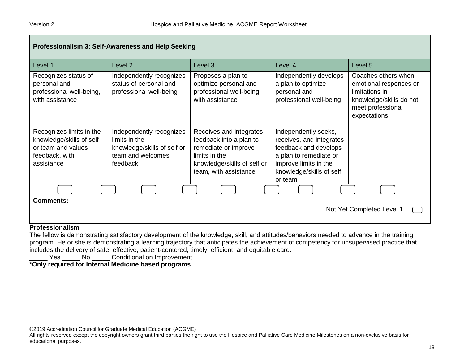| Professionalism 3: Self-Awareness and Help Seeking                                                         |                                                                                                           |                                                                                                                                                     |                                                                                                                                                                     |                                                                                                                                 |
|------------------------------------------------------------------------------------------------------------|-----------------------------------------------------------------------------------------------------------|-----------------------------------------------------------------------------------------------------------------------------------------------------|---------------------------------------------------------------------------------------------------------------------------------------------------------------------|---------------------------------------------------------------------------------------------------------------------------------|
| Level 1                                                                                                    | Level <sub>2</sub>                                                                                        | Level <sub>3</sub>                                                                                                                                  | Level 4                                                                                                                                                             | Level 5                                                                                                                         |
| Recognizes status of<br>personal and<br>professional well-being,<br>with assistance                        | Independently recognizes<br>status of personal and<br>professional well-being                             | Proposes a plan to<br>optimize personal and<br>professional well-being,<br>with assistance                                                          | Independently develops<br>a plan to optimize<br>personal and<br>professional well-being                                                                             | Coaches others when<br>emotional responses or<br>limitations in<br>knowledge/skills do not<br>meet professional<br>expectations |
| Recognizes limits in the<br>knowledge/skills of self<br>or team and values<br>feedback, with<br>assistance | Independently recognizes<br>limits in the<br>knowledge/skills of self or<br>team and welcomes<br>feedback | Receives and integrates<br>feedback into a plan to<br>remediate or improve<br>limits in the<br>knowledge/skills of self or<br>team, with assistance | Independently seeks,<br>receives, and integrates<br>feedback and develops<br>a plan to remediate or<br>improve limits in the<br>knowledge/skills of self<br>or team |                                                                                                                                 |
|                                                                                                            |                                                                                                           |                                                                                                                                                     |                                                                                                                                                                     |                                                                                                                                 |
| <b>Comments:</b><br>Not Yet Completed Level 1                                                              |                                                                                                           |                                                                                                                                                     |                                                                                                                                                                     |                                                                                                                                 |
| Professionalism                                                                                            |                                                                                                           |                                                                                                                                                     |                                                                                                                                                                     |                                                                                                                                 |

#### The fellow is demonstrating satisfactory development of the knowledge, skill, and attitudes/behaviors needed to advance in the training program. He or she is demonstrating a learning trajectory that anticipates the achievement of competency for unsupervised practice that includes the delivery of safe, effective, patient-centered, timely, efficient, and equitable care.

\_\_\_\_\_ Yes \_\_\_\_\_ No \_\_\_\_\_ Conditional on Improvement

#### **\*Only required for Internal Medicine based programs**

©2019 Accreditation Council for Graduate Medical Education (ACGME)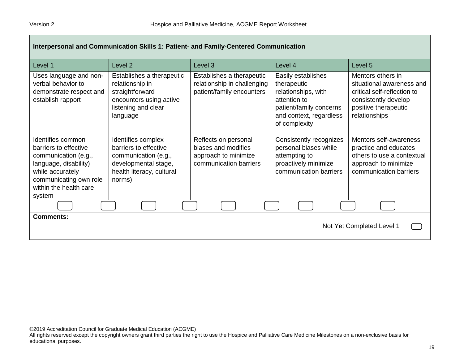**Contract Contract** 

| Interpersonal and Communication Skills 1: Patient- and Family-Centered Communication                                                                                          |                                                                                                                                    |                                                                                               |                                                                                                                                                 |                                                                                                                                                |
|-------------------------------------------------------------------------------------------------------------------------------------------------------------------------------|------------------------------------------------------------------------------------------------------------------------------------|-----------------------------------------------------------------------------------------------|-------------------------------------------------------------------------------------------------------------------------------------------------|------------------------------------------------------------------------------------------------------------------------------------------------|
| Level 1                                                                                                                                                                       | Level <sub>2</sub>                                                                                                                 | Level 3                                                                                       | Level 4                                                                                                                                         | Level 5                                                                                                                                        |
| Uses language and non-<br>verbal behavior to<br>demonstrate respect and<br>establish rapport                                                                                  | Establishes a therapeutic<br>relationship in<br>straightforward<br>encounters using active<br>listening and clear<br>language      | Establishes a therapeutic<br>relationship in challenging<br>patient/family encounters         | Easily establishes<br>therapeutic<br>relationships, with<br>attention to<br>patient/family concerns<br>and context, regardless<br>of complexity | Mentors others in<br>situational awareness and<br>critical self-reflection to<br>consistently develop<br>positive therapeutic<br>relationships |
| Identifies common<br>barriers to effective<br>communication (e.g.,<br>language, disability)<br>while accurately<br>communicating own role<br>within the health care<br>system | Identifies complex<br>barriers to effective<br>communication (e.g.,<br>developmental stage,<br>health literacy, cultural<br>norms) | Reflects on personal<br>biases and modifies<br>approach to minimize<br>communication barriers | Consistently recognizes<br>personal biases while<br>attempting to<br>proactively minimize<br>communication barriers                             | Mentors self-awareness<br>practice and educates<br>others to use a contextual<br>approach to minimize<br>communication barriers                |
|                                                                                                                                                                               |                                                                                                                                    |                                                                                               |                                                                                                                                                 |                                                                                                                                                |
| <b>Comments:</b><br>Not Yet Completed Level 1                                                                                                                                 |                                                                                                                                    |                                                                                               |                                                                                                                                                 |                                                                                                                                                |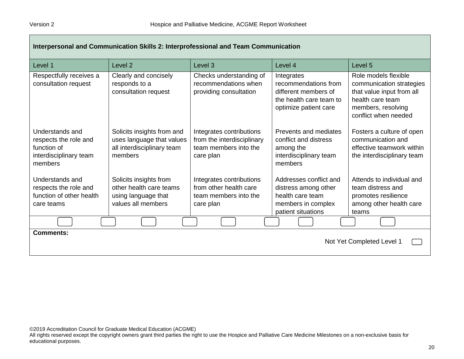| Interpersonal and Communication Skills 2: Interprofessional and Team Communication           |                                                                                                  |                                                                                              |                                                                                                                |                                                                                                                                                 |
|----------------------------------------------------------------------------------------------|--------------------------------------------------------------------------------------------------|----------------------------------------------------------------------------------------------|----------------------------------------------------------------------------------------------------------------|-------------------------------------------------------------------------------------------------------------------------------------------------|
| Level 1                                                                                      | Level <sub>2</sub>                                                                               | Level <sub>3</sub>                                                                           | Level 4                                                                                                        | Level <sub>5</sub>                                                                                                                              |
| Respectfully receives a<br>consultation request                                              | Clearly and concisely<br>responds to a<br>consultation request                                   | Checks understanding of<br>recommendations when<br>providing consultation                    | Integrates<br>recommendations from<br>different members of<br>the health care team to<br>optimize patient care | Role models flexible<br>communication strategies<br>that value input from all<br>health care team<br>members, resolving<br>conflict when needed |
| Understands and<br>respects the role and<br>function of<br>interdisciplinary team<br>members | Solicits insights from and<br>uses language that values<br>all interdisciplinary team<br>members | Integrates contributions<br>from the interdisciplinary<br>team members into the<br>care plan | Prevents and mediates<br>conflict and distress<br>among the<br>interdisciplinary team<br>members               | Fosters a culture of open<br>communication and<br>effective teamwork within<br>the interdisciplinary team                                       |
| Understands and                                                                              | Solicits insights from                                                                           | Integrates contributions                                                                     | Addresses conflict and                                                                                         | Attends to individual and                                                                                                                       |
| respects the role and<br>function of other health                                            | other health care teams<br>using language that                                                   | from other health care<br>team members into the                                              | distress among other<br>health care team                                                                       | team distress and<br>promotes resilience                                                                                                        |
| care teams                                                                                   | values all members                                                                               | care plan                                                                                    | members in complex<br>patient situations                                                                       | among other health care<br>teams                                                                                                                |
|                                                                                              |                                                                                                  |                                                                                              |                                                                                                                |                                                                                                                                                 |
| <b>Comments:</b><br>Not Yet Completed Level 1                                                |                                                                                                  |                                                                                              |                                                                                                                |                                                                                                                                                 |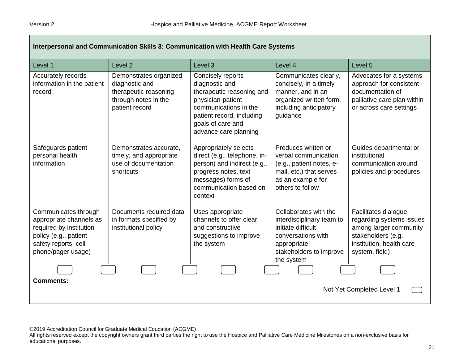| Interpersonal and Communication Skills 3: Communication with Health Care Systems                                                                  |                                                                                                             |                                                                                                                                                                                           |                                                                                                                                                        |                                                                                                                                                 |
|---------------------------------------------------------------------------------------------------------------------------------------------------|-------------------------------------------------------------------------------------------------------------|-------------------------------------------------------------------------------------------------------------------------------------------------------------------------------------------|--------------------------------------------------------------------------------------------------------------------------------------------------------|-------------------------------------------------------------------------------------------------------------------------------------------------|
| Level 1                                                                                                                                           | Level <sub>2</sub>                                                                                          | Level 3                                                                                                                                                                                   | Level 4                                                                                                                                                | Level 5                                                                                                                                         |
| Accurately records<br>information in the patient<br>record                                                                                        | Demonstrates organized<br>diagnostic and<br>therapeutic reasoning<br>through notes in the<br>patient record | Concisely reports<br>diagnostic and<br>therapeutic reasoning and<br>physician-patient<br>communications in the<br>patient record, including<br>goals of care and<br>advance care planning | Communicates clearly,<br>concisely, in a timely<br>manner, and in an<br>organized written form,<br>including anticipatory<br>guidance                  | Advocates for a systems<br>approach for consistent<br>documentation of<br>palliative care plan within<br>or across care settings                |
| Safeguards patient<br>personal health<br>information                                                                                              | Demonstrates accurate,<br>timely, and appropriate<br>use of documentation<br>shortcuts                      | Appropriately selects<br>direct (e.g., telephone, in-<br>person) and indirect (e.g.,<br>progress notes, text<br>messages) forms of<br>communication based on<br>context                   | Produces written or<br>verbal communication<br>(e.g., patient notes, e-<br>mail, etc.) that serves<br>as an example for<br>others to follow            | Guides departmental or<br>institutional<br>communication around<br>policies and procedures                                                      |
| Communicates through<br>appropriate channels as<br>required by institution<br>policy (e.g., patient<br>safety reports, cell<br>phone/pager usage) | Documents required data<br>in formats specified by<br>institutional policy                                  | Uses appropriate<br>channels to offer clear<br>and constructive<br>suggestions to improve<br>the system                                                                                   | Collaborates with the<br>interdisciplinary team to<br>initiate difficult<br>conversations with<br>appropriate<br>stakeholders to improve<br>the system | Facilitates dialogue<br>regarding systems issues<br>among larger community<br>stakeholders (e.g.,<br>institution, health care<br>system, field) |
|                                                                                                                                                   |                                                                                                             |                                                                                                                                                                                           |                                                                                                                                                        |                                                                                                                                                 |
| <b>Comments:</b><br>Not Yet Completed Level 1                                                                                                     |                                                                                                             |                                                                                                                                                                                           |                                                                                                                                                        |                                                                                                                                                 |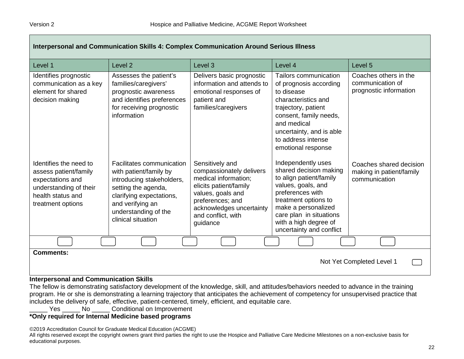| Interpersonal and Communication Skills 4: Complex Communication Around Serious Illness                                                  |                                                                                                                                                                                                       |                                                                                                                                                                                                      |                                                                                                                                                                                                                                                  |                                                                      |
|-----------------------------------------------------------------------------------------------------------------------------------------|-------------------------------------------------------------------------------------------------------------------------------------------------------------------------------------------------------|------------------------------------------------------------------------------------------------------------------------------------------------------------------------------------------------------|--------------------------------------------------------------------------------------------------------------------------------------------------------------------------------------------------------------------------------------------------|----------------------------------------------------------------------|
| Level 1                                                                                                                                 | Level <sub>2</sub>                                                                                                                                                                                    | Level <sub>3</sub>                                                                                                                                                                                   | Level 4                                                                                                                                                                                                                                          | Level <sub>5</sub>                                                   |
| Identifies prognostic<br>communication as a key<br>element for shared<br>decision making                                                | Assesses the patient's<br>families/caregivers'<br>prognostic awareness<br>and identifies preferences<br>for receiving prognostic<br>information                                                       | Delivers basic prognostic<br>information and attends to<br>emotional responses of<br>patient and<br>families/caregivers                                                                              | Tailors communication<br>of prognosis according<br>to disease<br>characteristics and<br>trajectory, patient<br>consent, family needs,<br>and medical<br>uncertainty, and is able<br>to address intense<br>emotional response                     | Coaches others in the<br>communication of<br>prognostic information  |
| Identifies the need to<br>assess patient/family<br>expectations and<br>understanding of their<br>health status and<br>treatment options | Facilitates communication<br>with patient/family by<br>introducing stakeholders,<br>setting the agenda,<br>clarifying expectations,<br>and verifying an<br>understanding of the<br>clinical situation | Sensitively and<br>compassionately delivers<br>medical information;<br>elicits patient/family<br>values, goals and<br>preferences; and<br>acknowledges uncertainty<br>and conflict, with<br>guidance | Independently uses<br>shared decision making<br>to align patient/family<br>values, goals, and<br>preferences with<br>treatment options to<br>make a personalized<br>care plan in situations<br>with a high degree of<br>uncertainty and conflict | Coaches shared decision<br>making in patient/family<br>communication |
|                                                                                                                                         |                                                                                                                                                                                                       |                                                                                                                                                                                                      |                                                                                                                                                                                                                                                  |                                                                      |
| <b>Comments:</b><br>Not Yet Completed Level 1                                                                                           |                                                                                                                                                                                                       |                                                                                                                                                                                                      |                                                                                                                                                                                                                                                  |                                                                      |

#### **Interpersonal and Communication Skills**

The fellow is demonstrating satisfactory development of the knowledge, skill, and attitudes/behaviors needed to advance in the training program. He or she is demonstrating a learning trajectory that anticipates the achievement of competency for unsupervised practice that includes the delivery of safe, effective, patient-centered, timely, efficient, and equitable care.

Yes No Conditional on Improvement

#### **\*Only required for Internal Medicine based programs**

©2019 Accreditation Council for Graduate Medical Education (ACGME)